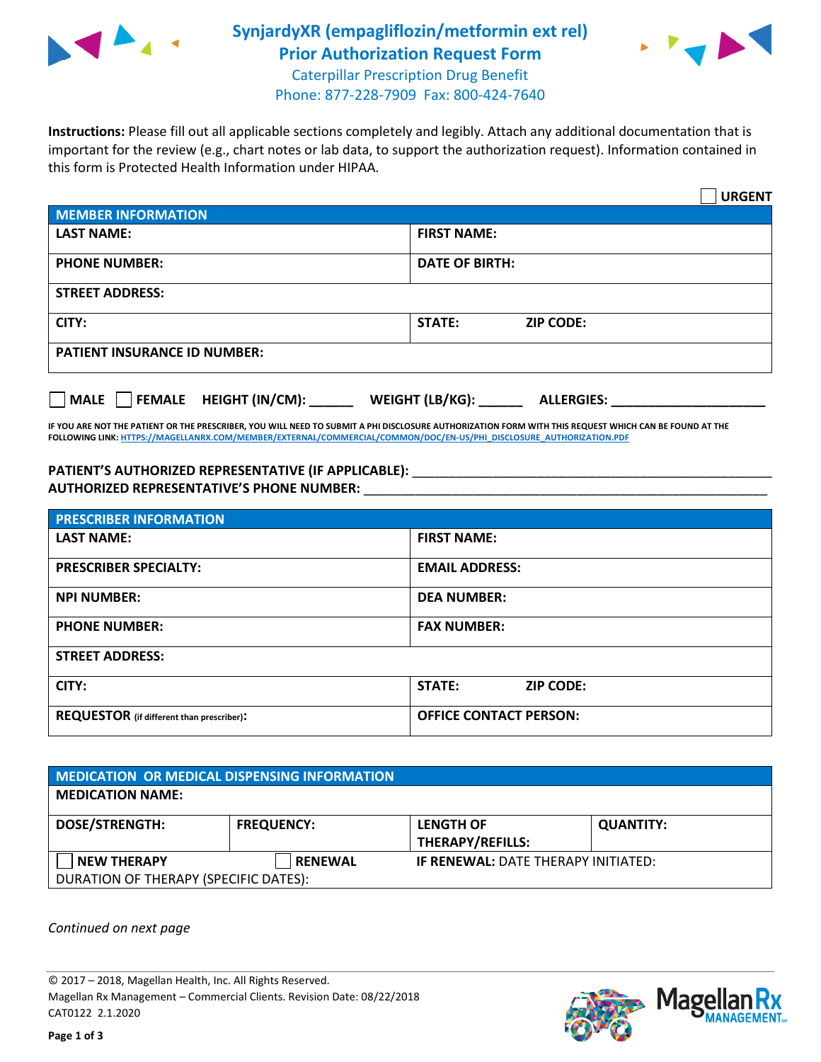

## **SynjardyXR (empagliflozin/metformin ext rel) Prior Authorization Request Form**



Caterpillar Prescription Drug Benefit Phone: 877-228-7909 Fax: 800-424-7640

**Instructions:** Please fill out all applicable sections completely and legibly. Attach any additional documentation that is important for the review (e.g., chart notes or lab data, to support the authorization request). Information contained in this form is Protected Health Information under HIPAA.

|                                                                          | <b>URGENT</b>                     |  |  |
|--------------------------------------------------------------------------|-----------------------------------|--|--|
| <b>MEMBER INFORMATION</b>                                                |                                   |  |  |
| <b>LAST NAME:</b>                                                        | <b>FIRST NAME:</b>                |  |  |
| <b>PHONE NUMBER:</b>                                                     | <b>DATE OF BIRTH:</b>             |  |  |
| <b>STREET ADDRESS:</b>                                                   |                                   |  |  |
| CITY:                                                                    | <b>STATE:</b><br><b>ZIP CODE:</b> |  |  |
| <b>PATIENT INSURANCE ID NUMBER:</b>                                      |                                   |  |  |
| FEMALE HEIGHT (IN/CM):<br>WEIGHT (LB/KG):<br>  MALE<br><b>ALLERGIES:</b> |                                   |  |  |

**IF YOU ARE NOT THE PATIENT OR THE PRESCRIBER, YOU WILL NEED TO SUBMIT A PHI DISCLOSURE AUTHORIZATION FORM WITH THIS REQUEST WHICH CAN BE FOUND AT THE FOLLOWING LINK[: HTTPS://MAGELLANRX.COM/MEMBER/EXTERNAL/COMMERCIAL/COMMON/DOC/EN-US/PHI\\_DISCLOSURE\\_AUTHORIZATION.PDF](https://magellanrx.com/member/external/commercial/common/doc/en-us/PHI_Disclosure_Authorization.pdf)**

PATIENT'S AUTHORIZED REPRESENTATIVE (IF APPLICABLE): \_\_\_\_\_\_\_\_\_\_\_\_\_\_\_\_\_\_\_\_\_\_\_\_\_\_\_ **AUTHORIZED REPRESENTATIVE'S PHONE NUMBER:** \_\_\_\_\_\_\_\_\_\_\_\_\_\_\_\_\_\_\_\_\_\_\_\_\_\_\_\_\_\_\_\_\_\_\_\_\_\_\_\_\_\_\_\_\_\_\_\_\_\_\_\_\_\_\_

| <b>PRESCRIBER INFORMATION</b>             |                               |  |  |  |
|-------------------------------------------|-------------------------------|--|--|--|
| <b>LAST NAME:</b>                         | <b>FIRST NAME:</b>            |  |  |  |
| <b>PRESCRIBER SPECIALTY:</b>              | <b>EMAIL ADDRESS:</b>         |  |  |  |
| <b>NPI NUMBER:</b>                        | <b>DEA NUMBER:</b>            |  |  |  |
| <b>PHONE NUMBER:</b>                      | <b>FAX NUMBER:</b>            |  |  |  |
| <b>STREET ADDRESS:</b>                    |                               |  |  |  |
| CITY:                                     | STATE:<br><b>ZIP CODE:</b>    |  |  |  |
| REQUESTOR (if different than prescriber): | <b>OFFICE CONTACT PERSON:</b> |  |  |  |

| MEDICATION OR MEDICAL DISPENSING INFORMATION |                   |                                            |                  |  |  |
|----------------------------------------------|-------------------|--------------------------------------------|------------------|--|--|
| <b>MEDICATION NAME:</b>                      |                   |                                            |                  |  |  |
| <b>DOSE/STRENGTH:</b>                        | <b>FREQUENCY:</b> | <b>LENGTH OF</b>                           | <b>QUANTITY:</b> |  |  |
|                                              |                   | THERAPY/REFILLS:                           |                  |  |  |
| <b>NEW THERAPY</b>                           | <b>RENEWAL</b>    | <b>IF RENEWAL: DATE THERAPY INITIATED:</b> |                  |  |  |
| DURATION OF THERAPY (SPECIFIC DATES):        |                   |                                            |                  |  |  |

*Continued on next page*

© 2017 – 2018, Magellan Health, Inc. All Rights Reserved. Magellan Rx Management – Commercial Clients. Revision Date: 08/22/2018 CAT0122 2.1.2020

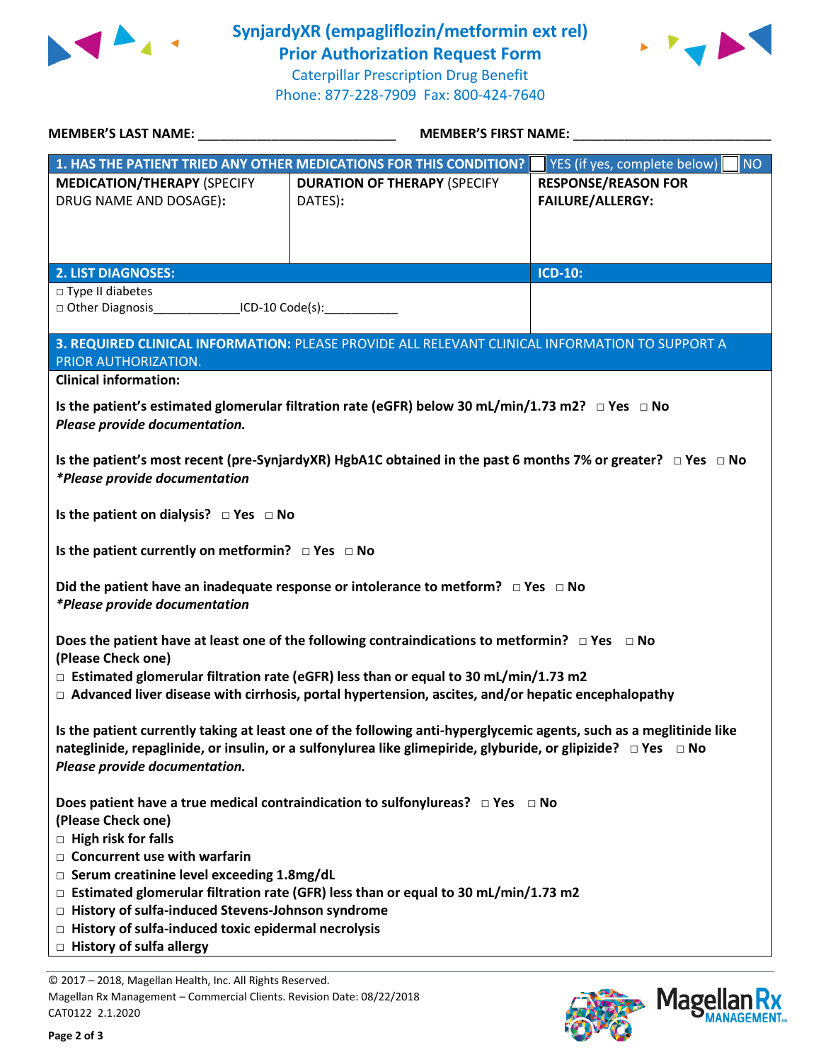

**SynjardyXR (empagliflozin/metformin ext rel) Prior Authorization Request Form**

 $\blacktriangleright$ 

Caterpillar Prescription Drug Benefit Phone: 877-228-7909 Fax: 800-424-7640

| <b>MEMBER'S LAST NAME:</b>                                                                                              | <b>MEMBER'S FIRST NAME:</b>                                                                                            |                                    |  |  |  |
|-------------------------------------------------------------------------------------------------------------------------|------------------------------------------------------------------------------------------------------------------------|------------------------------------|--|--|--|
|                                                                                                                         | 1. HAS THE PATIENT TRIED ANY OTHER MEDICATIONS FOR THIS CONDITION?                                                     | YES (if yes, complete below)<br>NO |  |  |  |
| <b>MEDICATION/THERAPY (SPECIFY</b>                                                                                      | <b>DURATION OF THERAPY (SPECIFY</b>                                                                                    | <b>RESPONSE/REASON FOR</b>         |  |  |  |
| DRUG NAME AND DOSAGE):                                                                                                  | DATES):                                                                                                                | <b>FAILURE/ALLERGY:</b>            |  |  |  |
|                                                                                                                         |                                                                                                                        |                                    |  |  |  |
|                                                                                                                         |                                                                                                                        |                                    |  |  |  |
|                                                                                                                         |                                                                                                                        |                                    |  |  |  |
| <b>2. LIST DIAGNOSES:</b>                                                                                               |                                                                                                                        | <b>ICD-10:</b>                     |  |  |  |
| □ Type II diabetes                                                                                                      |                                                                                                                        |                                    |  |  |  |
| □ Other Diagnosis_________________ICD-10 Code(s):______________                                                         |                                                                                                                        |                                    |  |  |  |
|                                                                                                                         |                                                                                                                        |                                    |  |  |  |
|                                                                                                                         | 3. REQUIRED CLINICAL INFORMATION: PLEASE PROVIDE ALL RELEVANT CLINICAL INFORMATION TO SUPPORT A                        |                                    |  |  |  |
| PRIOR AUTHORIZATION.                                                                                                    |                                                                                                                        |                                    |  |  |  |
| <b>Clinical information:</b>                                                                                            |                                                                                                                        |                                    |  |  |  |
|                                                                                                                         | Is the patient's estimated glomerular filtration rate (eGFR) below 30 mL/min/1.73 m2? $\Box$ Yes $\Box$ No             |                                    |  |  |  |
| Please provide documentation.                                                                                           |                                                                                                                        |                                    |  |  |  |
|                                                                                                                         |                                                                                                                        |                                    |  |  |  |
|                                                                                                                         | Is the patient's most recent (pre-SynjardyXR) HgbA1C obtained in the past 6 months 7% or greater? $\Box$ Yes $\Box$ No |                                    |  |  |  |
| *Please provide documentation                                                                                           |                                                                                                                        |                                    |  |  |  |
|                                                                                                                         |                                                                                                                        |                                    |  |  |  |
| Is the patient on dialysis? $\Box$ Yes $\Box$ No                                                                        |                                                                                                                        |                                    |  |  |  |
|                                                                                                                         |                                                                                                                        |                                    |  |  |  |
| Is the patient currently on metformin? $\Box$ Yes $\Box$ No                                                             |                                                                                                                        |                                    |  |  |  |
|                                                                                                                         |                                                                                                                        |                                    |  |  |  |
|                                                                                                                         | Did the patient have an inadequate response or intolerance to metform? $\Box$ Yes $\Box$ No                            |                                    |  |  |  |
| *Please provide documentation                                                                                           |                                                                                                                        |                                    |  |  |  |
|                                                                                                                         |                                                                                                                        |                                    |  |  |  |
| (Please Check one)                                                                                                      | Does the patient have at least one of the following contraindications to metformin? $\Box$ Yes $\Box$ No               |                                    |  |  |  |
|                                                                                                                         |                                                                                                                        |                                    |  |  |  |
| $\Box$ Estimated glomerular filtration rate (eGFR) less than or equal to 30 mL/min/1.73 m2                              |                                                                                                                        |                                    |  |  |  |
| $\Box$ Advanced liver disease with cirrhosis, portal hypertension, ascites, and/or hepatic encephalopathy               |                                                                                                                        |                                    |  |  |  |
| Is the patient currently taking at least one of the following anti-hyperglycemic agents, such as a meglitinide like     |                                                                                                                        |                                    |  |  |  |
| nateglinide, repaglinide, or insulin, or a sulfonylurea like glimepiride, glyburide, or glipizide? $\Box$ Yes $\Box$ No |                                                                                                                        |                                    |  |  |  |
| Please provide documentation.                                                                                           |                                                                                                                        |                                    |  |  |  |
|                                                                                                                         |                                                                                                                        |                                    |  |  |  |
| Does patient have a true medical contraindication to sulfonylureas? $\Box$ Yes $\Box$ No                                |                                                                                                                        |                                    |  |  |  |
| (Please Check one)                                                                                                      |                                                                                                                        |                                    |  |  |  |
| $\Box$ High risk for falls                                                                                              |                                                                                                                        |                                    |  |  |  |
| $\Box$ Concurrent use with warfarin                                                                                     |                                                                                                                        |                                    |  |  |  |
| $\Box$ Serum creatinine level exceeding 1.8mg/dL                                                                        |                                                                                                                        |                                    |  |  |  |
| $\Box$ Estimated glomerular filtration rate (GFR) less than or equal to 30 mL/min/1.73 m2                               |                                                                                                                        |                                    |  |  |  |
| □ History of sulfa-induced Stevens-Johnson syndrome                                                                     |                                                                                                                        |                                    |  |  |  |
| $\Box$ History of sulfa-induced toxic epidermal necrolysis                                                              |                                                                                                                        |                                    |  |  |  |
| $\Box$ History of sulfa allergy                                                                                         |                                                                                                                        |                                    |  |  |  |
|                                                                                                                         |                                                                                                                        |                                    |  |  |  |
| © 2017 - 2018, Magellan Health, Inc. All Rights Reserved.                                                               |                                                                                                                        |                                    |  |  |  |

Magellan Rx Management – Commercial Clients. Revision Date: 08/22/2018 CAT0122 2.1.2020



КX